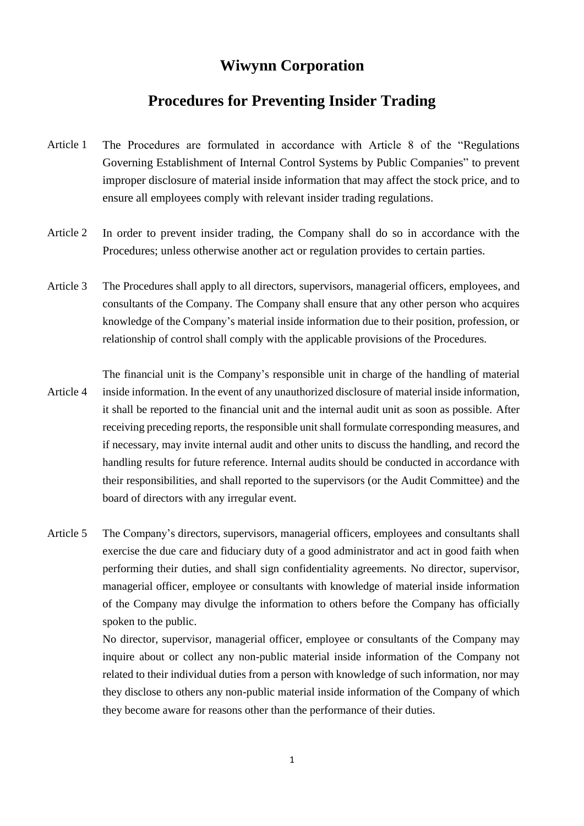## **Wiwynn Corporation**

## **Procedures for Preventing Insider Trading**

- Article 1 The Procedures are formulated in accordance with Article 8 of the "Regulations Governing Establishment of Internal Control Systems by Public Companies" to prevent improper disclosure of material inside information that may affect the stock price, and to ensure all employees comply with relevant insider trading regulations.
- Article 2 In order to prevent insider trading, the Company shall do so in accordance with the Procedures; unless otherwise another act or regulation provides to certain parties.
- Article 3 The Procedures shall apply to all directors, supervisors, managerial officers, employees, and consultants of the Company. The Company shall ensure that any other person who acquires knowledge of the Company's material inside information due to their position, profession, or relationship of control shall comply with the applicable provisions of the Procedures.

Article 4 The financial unit is the Company's responsible unit in charge of the handling of material inside information. In the event of any unauthorized disclosure of material inside information, it shall be reported to the financial unit and the internal audit unit as soon as possible. After receiving preceding reports, the responsible unit shall formulate corresponding measures, and if necessary, may invite internal audit and other units to discuss the handling, and record the handling results for future reference. Internal audits should be conducted in accordance with their responsibilities, and shall reported to the supervisors (or the Audit Committee) and the board of directors with any irregular event.

Article 5 The Company's directors, supervisors, managerial officers, employees and consultants shall exercise the due care and fiduciary duty of a good administrator and act in good faith when performing their duties, and shall sign confidentiality agreements. No director, supervisor, managerial officer, employee or consultants with knowledge of material inside information of the Company may divulge the information to others before the Company has officially spoken to the public.

> No director, supervisor, managerial officer, employee or consultants of the Company may inquire about or collect any non-public material inside information of the Company not related to their individual duties from a person with knowledge of such information, nor may they disclose to others any non-public material inside information of the Company of which they become aware for reasons other than the performance of their duties.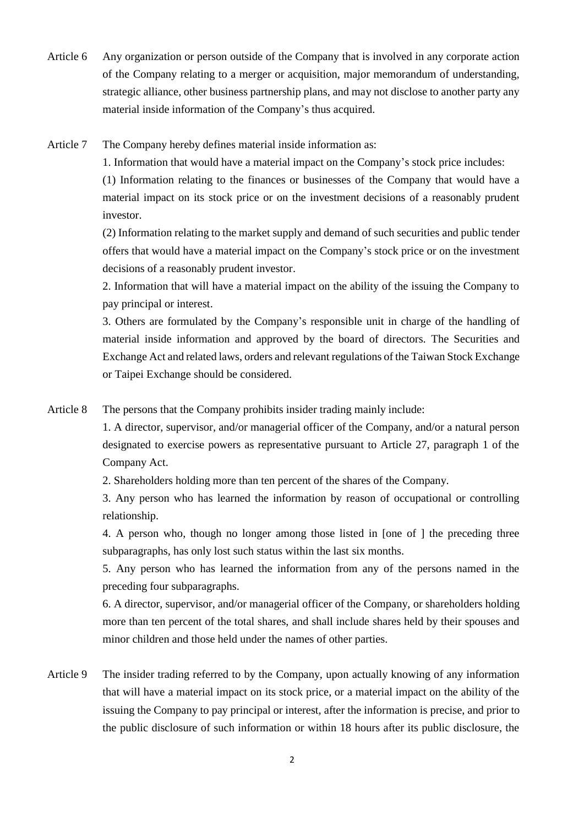Article 6 Any organization or person outside of the Company that is involved in any corporate action of the Company relating to a merger or acquisition, major memorandum of understanding, strategic alliance, other business partnership plans, and may not disclose to another party any material inside information of the Company's thus acquired.

Article 7 The Company hereby defines material inside information as:

1. Information that would have a material impact on the Company's stock price includes:

(1) Information relating to the finances or businesses of the Company that would have a material impact on its stock price or on the investment decisions of a reasonably prudent investor.

(2) Information relating to the market supply and demand of such securities and public tender offers that would have a material impact on the Company's stock price or on the investment decisions of a reasonably prudent investor.

2. Information that will have a material impact on the ability of the issuing the Company to pay principal or interest.

3. Others are formulated by the Company's responsible unit in charge of the handling of material inside information and approved by the board of directors. The Securities and Exchange Act and related laws, orders and relevant regulations of the Taiwan Stock Exchange or Taipei Exchange should be considered.

Article 8 The persons that the Company prohibits insider trading mainly include:

1. A director, supervisor, and/or managerial officer of the Company, and/or a natural person designated to exercise powers as representative pursuant to Article 27, paragraph 1 of the Company Act.

2. Shareholders holding more than ten percent of the shares of the Company.

3. Any person who has learned the information by reason of occupational or controlling relationship.

4. A person who, though no longer among those listed in [one of ] the preceding three subparagraphs, has only lost such status within the last six months.

5. Any person who has learned the information from any of the persons named in the preceding four subparagraphs.

6. A director, supervisor, and/or managerial officer of the Company, or shareholders holding more than ten percent of the total shares, and shall include shares held by their spouses and minor children and those held under the names of other parties.

Article 9 The insider trading referred to by the Company, upon actually knowing of any information that will have a material impact on its stock price, or a material impact on the ability of the issuing the Company to pay principal or interest, after the information is precise, and prior to the public disclosure of such information or within 18 hours after its public disclosure, the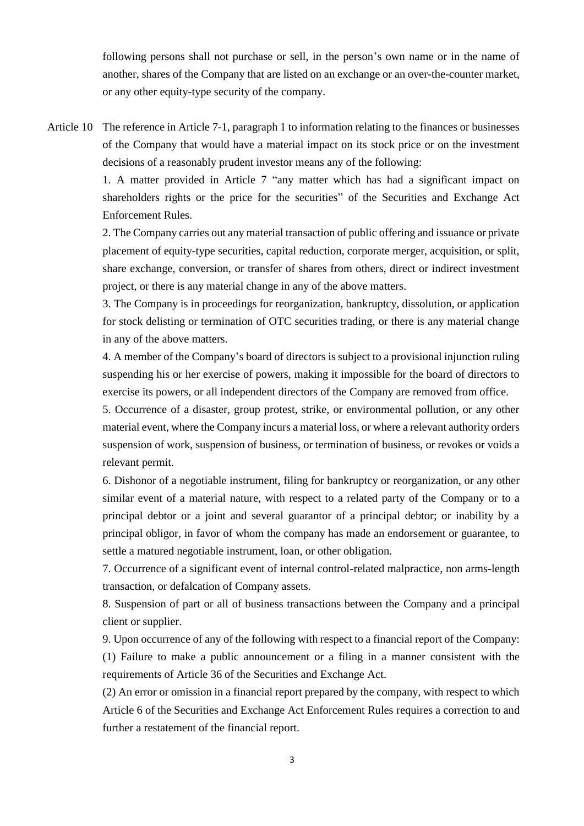following persons shall not purchase or sell, in the person's own name or in the name of another, shares of the Company that are listed on an exchange or an over-the-counter market, or any other equity-type security of the company.

Article 10 The reference in Article 7-1, paragraph 1 to information relating to the finances or businesses of the Company that would have a material impact on its stock price or on the investment decisions of a reasonably prudent investor means any of the following:

> 1. A matter provided in Article 7 "any matter which has had a significant impact on shareholders rights or the price for the securities" of the Securities and Exchange Act Enforcement Rules.

> 2. The Company carries out any material transaction of public offering and issuance or private placement of equity-type securities, capital reduction, corporate merger, acquisition, or split, share exchange, conversion, or transfer of shares from others, direct or indirect investment project, or there is any material change in any of the above matters.

> 3. The Company is in proceedings for reorganization, bankruptcy, dissolution, or application for stock delisting or termination of OTC securities trading, or there is any material change in any of the above matters.

> 4. A member of the Company's board of directors is subject to a provisional injunction ruling suspending his or her exercise of powers, making it impossible for the board of directors to exercise its powers, or all independent directors of the Company are removed from office.

> 5. Occurrence of a disaster, group protest, strike, or environmental pollution, or any other material event, where the Company incurs a material loss, or where a relevant authority orders suspension of work, suspension of business, or termination of business, or revokes or voids a relevant permit.

> 6. Dishonor of a negotiable instrument, filing for bankruptcy or reorganization, or any other similar event of a material nature, with respect to a related party of the Company or to a principal debtor or a joint and several guarantor of a principal debtor; or inability by a principal obligor, in favor of whom the company has made an endorsement or guarantee, to settle a matured negotiable instrument, loan, or other obligation.

> 7. Occurrence of a significant event of internal control-related malpractice, non arms-length transaction, or defalcation of Company assets.

> 8. Suspension of part or all of business transactions between the Company and a principal client or supplier.

> 9. Upon occurrence of any of the following with respect to a financial report of the Company: (1) Failure to make a public announcement or a filing in a manner consistent with the requirements of Article 36 of the Securities and Exchange Act.

> (2) An error or omission in a financial report prepared by the company, with respect to which Article 6 of the Securities and Exchange Act Enforcement Rules requires a correction to and further a restatement of the financial report.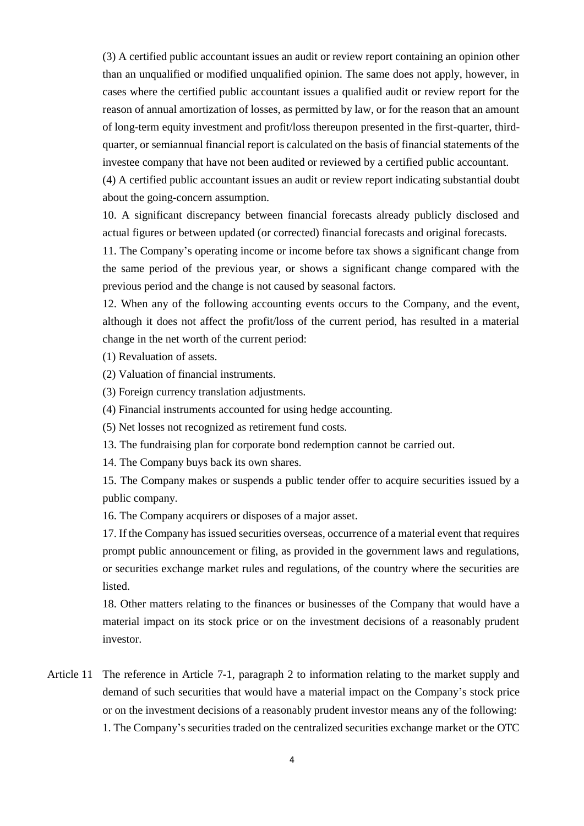(3) A certified public accountant issues an audit or review report containing an opinion other than an unqualified or modified unqualified opinion. The same does not apply, however, in cases where the certified public accountant issues a qualified audit or review report for the reason of annual amortization of losses, as permitted by law, or for the reason that an amount of long-term equity investment and profit/loss thereupon presented in the first-quarter, thirdquarter, or semiannual financial report is calculated on the basis of financial statements of the investee company that have not been audited or reviewed by a certified public accountant.

(4) A certified public accountant issues an audit or review report indicating substantial doubt about the going-concern assumption.

10. A significant discrepancy between financial forecasts already publicly disclosed and actual figures or between updated (or corrected) financial forecasts and original forecasts.

11. The Company's operating income or income before tax shows a significant change from the same period of the previous year, or shows a significant change compared with the previous period and the change is not caused by seasonal factors.

12. When any of the following accounting events occurs to the Company, and the event, although it does not affect the profit/loss of the current period, has resulted in a material change in the net worth of the current period:

(1) Revaluation of assets.

(2) Valuation of financial instruments.

(3) Foreign currency translation adjustments.

(4) Financial instruments accounted for using hedge accounting.

(5) Net losses not recognized as retirement fund costs.

13. The fundraising plan for corporate bond redemption cannot be carried out.

14. The Company buys back its own shares.

15. The Company makes or suspends a public tender offer to acquire securities issued by a public company.

16. The Company acquirers or disposes of a major asset.

17. If the Company has issued securities overseas, occurrence of a material event that requires prompt public announcement or filing, as provided in the government laws and regulations, or securities exchange market rules and regulations, of the country where the securities are listed.

18. Other matters relating to the finances or businesses of the Company that would have a material impact on its stock price or on the investment decisions of a reasonably prudent investor.

Article 11 The reference in Article 7-1, paragraph 2 to information relating to the market supply and demand of such securities that would have a material impact on the Company's stock price or on the investment decisions of a reasonably prudent investor means any of the following: 1. The Company's securities traded on the centralized securities exchange market or the OTC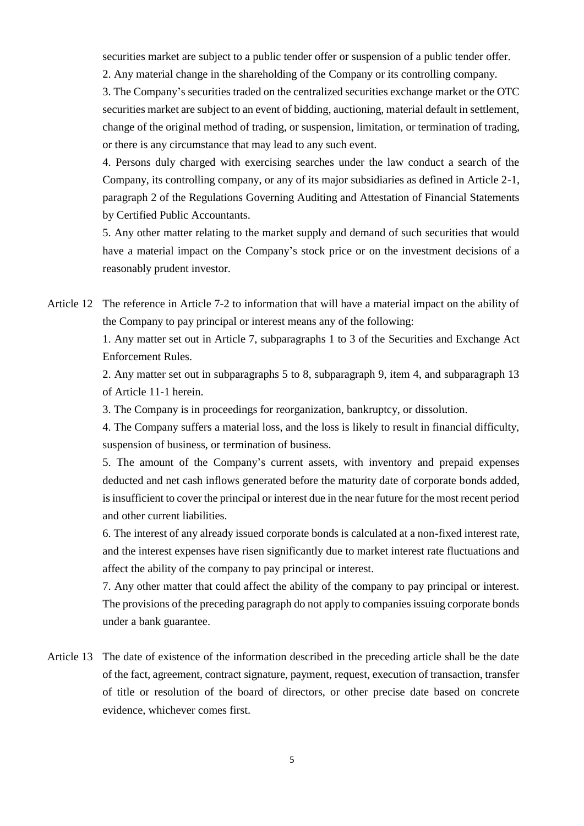securities market are subject to a public tender offer or suspension of a public tender offer.

2. Any material change in the shareholding of the Company or its controlling company.

3. The Company's securities traded on the centralized securities exchange market or the OTC securities market are subject to an event of bidding, auctioning, material default in settlement, change of the original method of trading, or suspension, limitation, or termination of trading, or there is any circumstance that may lead to any such event.

4. Persons duly charged with exercising searches under the law conduct a search of the Company, its controlling company, or any of its major subsidiaries as defined in Article 2-1, paragraph 2 of the Regulations Governing Auditing and Attestation of Financial Statements by Certified Public Accountants.

5. Any other matter relating to the market supply and demand of such securities that would have a material impact on the Company's stock price or on the investment decisions of a reasonably prudent investor.

Article 12 The reference in Article 7-2 to information that will have a material impact on the ability of the Company to pay principal or interest means any of the following:

> 1. Any matter set out in Article 7, subparagraphs 1 to 3 of the Securities and Exchange Act Enforcement Rules.

> 2. Any matter set out in subparagraphs 5 to 8, subparagraph 9, item 4, and subparagraph 13 of Article 11-1 herein.

3. The Company is in proceedings for reorganization, bankruptcy, or dissolution.

4. The Company suffers a material loss, and the loss is likely to result in financial difficulty, suspension of business, or termination of business.

5. The amount of the Company's current assets, with inventory and prepaid expenses deducted and net cash inflows generated before the maturity date of corporate bonds added, is insufficient to cover the principal or interest due in the near future for the most recent period and other current liabilities.

6. The interest of any already issued corporate bonds is calculated at a non-fixed interest rate, and the interest expenses have risen significantly due to market interest rate fluctuations and affect the ability of the company to pay principal or interest.

7. Any other matter that could affect the ability of the company to pay principal or interest. The provisions of the preceding paragraph do not apply to companies issuing corporate bonds under a bank guarantee.

Article 13 The date of existence of the information described in the preceding article shall be the date of the fact, agreement, contract signature, payment, request, execution of transaction, transfer of title or resolution of the board of directors, or other precise date based on concrete evidence, whichever comes first.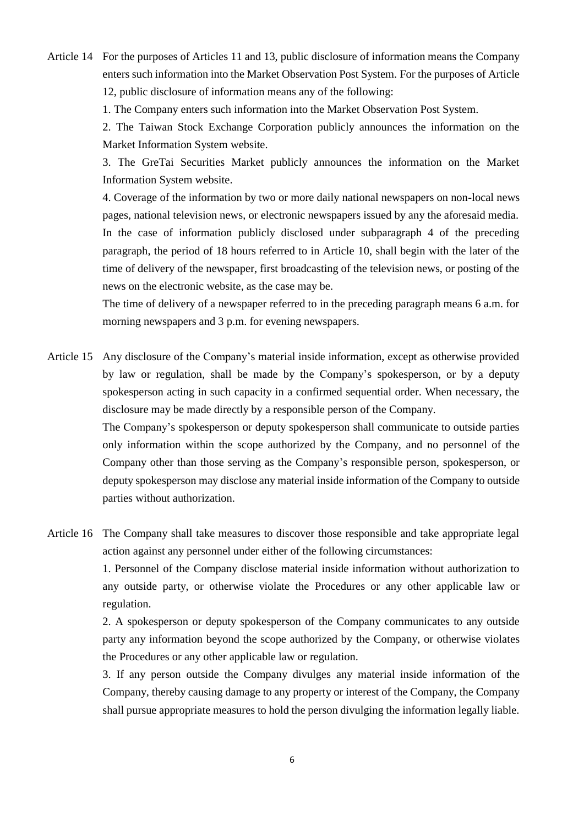Article 14 For the purposes of Articles 11 and 13, public disclosure of information means the Company enters such information into the Market Observation Post System. For the purposes of Article 12, public disclosure of information means any of the following:

1. The Company enters such information into the Market Observation Post System.

2. The Taiwan Stock Exchange Corporation publicly announces the information on the Market Information System website.

3. The GreTai Securities Market publicly announces the information on the Market Information System website.

4. Coverage of the information by two or more daily national newspapers on non-local news pages, national television news, or electronic newspapers issued by any the aforesaid media. In the case of information publicly disclosed under subparagraph 4 of the preceding paragraph, the period of 18 hours referred to in Article 10, shall begin with the later of the time of delivery of the newspaper, first broadcasting of the television news, or posting of the news on the electronic website, as the case may be.

The time of delivery of a newspaper referred to in the preceding paragraph means 6 a.m. for morning newspapers and 3 p.m. for evening newspapers.

Article 15 Any disclosure of the Company's material inside information, except as otherwise provided by law or regulation, shall be made by the Company's spokesperson, or by a deputy spokesperson acting in such capacity in a confirmed sequential order. When necessary, the disclosure may be made directly by a responsible person of the Company.

> The Company's spokesperson or deputy spokesperson shall communicate to outside parties only information within the scope authorized by the Company, and no personnel of the Company other than those serving as the Company's responsible person, spokesperson, or deputy spokesperson may disclose any material inside information of the Company to outside parties without authorization.

Article 16 The Company shall take measures to discover those responsible and take appropriate legal action against any personnel under either of the following circumstances:

> 1. Personnel of the Company disclose material inside information without authorization to any outside party, or otherwise violate the Procedures or any other applicable law or regulation.

> 2. A spokesperson or deputy spokesperson of the Company communicates to any outside party any information beyond the scope authorized by the Company, or otherwise violates the Procedures or any other applicable law or regulation.

> 3. If any person outside the Company divulges any material inside information of the Company, thereby causing damage to any property or interest of the Company, the Company shall pursue appropriate measures to hold the person divulging the information legally liable.